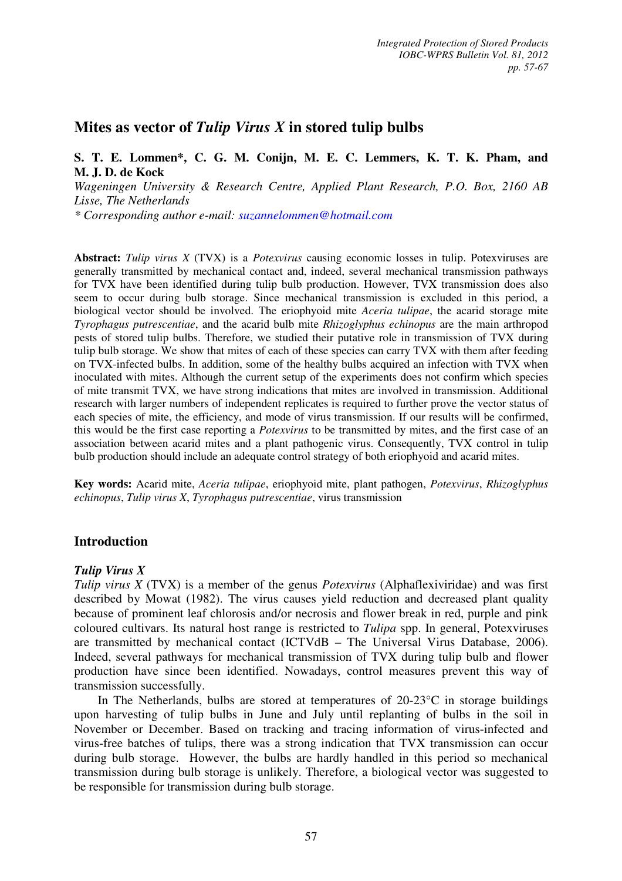# **Mites as vector of** *Tulip Virus X* **in stored tulip bulbs**

## **S. T. E. Lommen\*, C. G. M. Conijn, M. E. C. Lemmers, K. T. K. Pham, and M. J. D. de Kock**

*Wageningen University & Research Centre, Applied Plant Research, P.O. Box, 2160 AB Lisse, The Netherlands*

*\* Corresponding author e-mail: suzannelommen@hotmail.com*

**Abstract:** *Tulip virus X* (TVX) is a *Potexvirus* causing economic losses in tulip. Potexviruses are generally transmitted by mechanical contact and, indeed, several mechanical transmission pathways for TVX have been identified during tulip bulb production. However, TVX transmission does also seem to occur during bulb storage. Since mechanical transmission is excluded in this period, a biological vector should be involved. The eriophyoid mite *Aceria tulipae*, the acarid storage mite *Tyrophagus putrescentiae*, and the acarid bulb mite *Rhizoglyphus echinopus* are the main arthropod pests of stored tulip bulbs. Therefore, we studied their putative role in transmission of TVX during tulip bulb storage. We show that mites of each of these species can carry TVX with them after feeding on TVX-infected bulbs. In addition, some of the healthy bulbs acquired an infection with TVX when inoculated with mites. Although the current setup of the experiments does not confirm which species of mite transmit TVX, we have strong indications that mites are involved in transmission. Additional research with larger numbers of independent replicates is required to further prove the vector status of each species of mite, the efficiency, and mode of virus transmission. If our results will be confirmed, this would be the first case reporting a *Potexvirus* to be transmitted by mites, and the first case of an association between acarid mites and a plant pathogenic virus. Consequently, TVX control in tulip bulb production should include an adequate control strategy of both eriophyoid and acarid mites.

**Key words:** Acarid mite, *Aceria tulipae*, eriophyoid mite, plant pathogen, *Potexvirus*, *Rhizoglyphus echinopus*, *Tulip virus X*, *Tyrophagus putrescentiae*, virus transmission

## **Introduction**

## *Tulip Virus X*

*Tulip virus X* (TVX) is a member of the genus *Potexvirus* (Alphaflexiviridae) and was first described by Mowat (1982). The virus causes yield reduction and decreased plant quality because of prominent leaf chlorosis and/or necrosis and flower break in red, purple and pink coloured cultivars. Its natural host range is restricted to *Tulipa* spp. In general, Potexviruses are transmitted by mechanical contact (ICTVdB – The Universal Virus Database, 2006). Indeed, several pathways for mechanical transmission of TVX during tulip bulb and flower production have since been identified. Nowadays, control measures prevent this way of transmission successfully.

In The Netherlands, bulbs are stored at temperatures of  $20-23$ °C in storage buildings upon harvesting of tulip bulbs in June and July until replanting of bulbs in the soil in November or December. Based on tracking and tracing information of virus-infected and virus-free batches of tulips, there was a strong indication that TVX transmission can occur during bulb storage. However, the bulbs are hardly handled in this period so mechanical transmission during bulb storage is unlikely. Therefore, a biological vector was suggested to be responsible for transmission during bulb storage.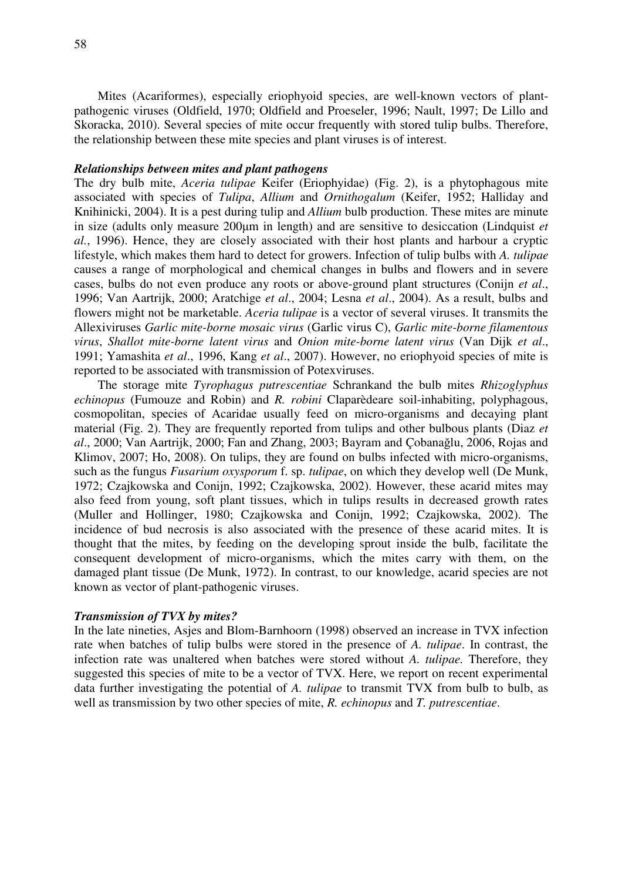Mites (Acariformes), especially eriophyoid species, are well-known vectors of plantpathogenic viruses (Oldfield, 1970; Oldfield and Proeseler, 1996; Nault, 1997; De Lillo and Skoracka, 2010). Several species of mite occur frequently with stored tulip bulbs. Therefore, the relationship between these mite species and plant viruses is of interest.

### *Relationships between mites and plant pathogens*

The dry bulb mite, *Aceria tulipae* Keifer (Eriophyidae) (Fig. 2), is a phytophagous mite associated with species of *Tulipa*, *Allium* and *Ornithogalum* (Keifer, 1952; Halliday and Knihinicki, 2004). It is a pest during tulip and *Allium* bulb production. These mites are minute in size (adults only measure 200µm in length) and are sensitive to desiccation (Lindquist *et al.*, 1996). Hence, they are closely associated with their host plants and harbour a cryptic lifestyle, which makes them hard to detect for growers. Infection of tulip bulbs with *A. tulipae* causes a range of morphological and chemical changes in bulbs and flowers and in severe cases, bulbs do not even produce any roots or above-ground plant structures (Conijn *et al*., 1996; Van Aartrijk, 2000; Aratchige *et al*., 2004; Lesna *et al*., 2004). As a result, bulbs and flowers might not be marketable. *Aceria tulipae* is a vector of several viruses. It transmits the Allexiviruses *Garlic mite-borne mosaic virus* (Garlic virus C), *Garlic mite-borne filamentous virus*, *Shallot mite-borne latent virus* and *Onion mite-borne latent virus* (Van Dijk *et al*., 1991; Yamashita *et al*., 1996, Kang *et al*., 2007). However, no eriophyoid species of mite is reported to be associated with transmission of Potexviruses.

The storage mite *Tyrophagus putrescentiae* Schrankand the bulb mites *Rhizoglyphus echinopus* (Fumouze and Robin) and *R. robini* Claparèdeare soil-inhabiting, polyphagous, cosmopolitan, species of Acaridae usually feed on micro-organisms and decaying plant material (Fig. 2). They are frequently reported from tulips and other bulbous plants (Diaz *et al*., 2000; Van Aartrijk, 2000; Fan and Zhang, 2003; Bayram and Çobanağlu, 2006, Rojas and Klimov, 2007; Ho, 2008). On tulips, they are found on bulbs infected with micro-organisms, such as the fungus *Fusarium oxysporum* f. sp. *tulipae*, on which they develop well (De Munk, 1972; Czajkowska and Conijn, 1992; Czajkowska, 2002). However, these acarid mites may also feed from young, soft plant tissues, which in tulips results in decreased growth rates (Muller and Hollinger, 1980; Czajkowska and Conijn, 1992; Czajkowska, 2002). The incidence of bud necrosis is also associated with the presence of these acarid mites. It is thought that the mites, by feeding on the developing sprout inside the bulb, facilitate the consequent development of micro-organisms, which the mites carry with them, on the damaged plant tissue (De Munk, 1972). In contrast, to our knowledge, acarid species are not known as vector of plant-pathogenic viruses.

### *Transmission of TVX by mites?*

In the late nineties, Asjes and Blom-Barnhoorn (1998) observed an increase in TVX infection rate when batches of tulip bulbs were stored in the presence of *A. tulipae*. In contrast, the infection rate was unaltered when batches were stored without *A. tulipae.* Therefore, they suggested this species of mite to be a vector of TVX. Here, we report on recent experimental data further investigating the potential of *A. tulipae* to transmit TVX from bulb to bulb, as well as transmission by two other species of mite, *R. echinopus* and *T. putrescentiae*.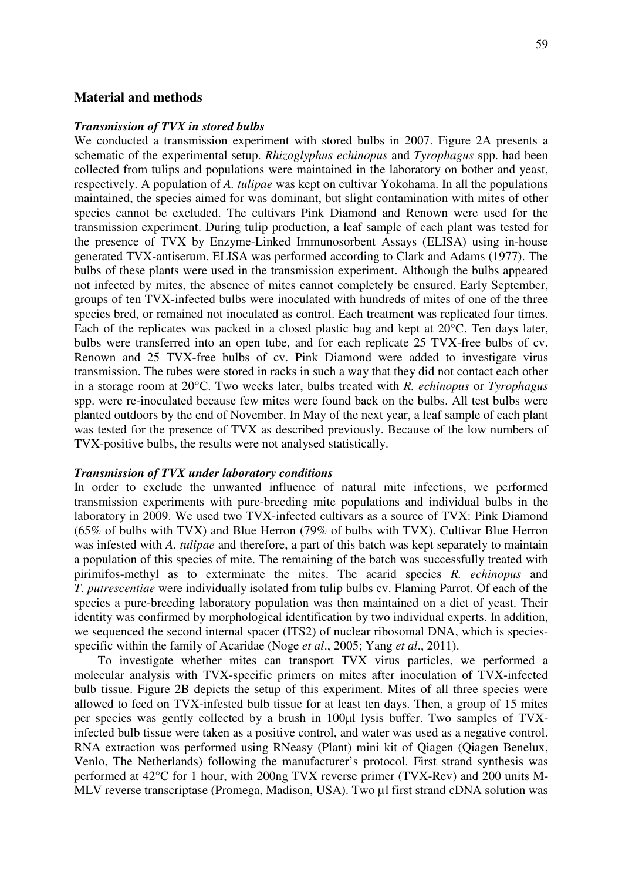### **Material and methods**

### *Transmission of TVX in stored bulbs*

We conducted a transmission experiment with stored bulbs in 2007. Figure 2A presents a schematic of the experimental setup. *Rhizoglyphus echinopus* and *Tyrophagus* spp. had been collected from tulips and populations were maintained in the laboratory on bother and yeast, respectively. A population of *A. tulipae* was kept on cultivar Yokohama. In all the populations maintained, the species aimed for was dominant, but slight contamination with mites of other species cannot be excluded. The cultivars Pink Diamond and Renown were used for the transmission experiment. During tulip production, a leaf sample of each plant was tested for the presence of TVX by Enzyme-Linked Immunosorbent Assays (ELISA) using in-house generated TVX-antiserum. ELISA was performed according to Clark and Adams (1977). The bulbs of these plants were used in the transmission experiment. Although the bulbs appeared not infected by mites, the absence of mites cannot completely be ensured. Early September, groups of ten TVX-infected bulbs were inoculated with hundreds of mites of one of the three species bred, or remained not inoculated as control. Each treatment was replicated four times. Each of the replicates was packed in a closed plastic bag and kept at 20°C. Ten days later, bulbs were transferred into an open tube, and for each replicate 25 TVX-free bulbs of cv. Renown and 25 TVX-free bulbs of cv. Pink Diamond were added to investigate virus transmission. The tubes were stored in racks in such a way that they did not contact each other in a storage room at 20°C. Two weeks later, bulbs treated with *R. echinopus* or *Tyrophagus*  spp. were re-inoculated because few mites were found back on the bulbs. All test bulbs were planted outdoors by the end of November. In May of the next year, a leaf sample of each plant was tested for the presence of TVX as described previously. Because of the low numbers of TVX-positive bulbs, the results were not analysed statistically.

#### *Transmission of TVX under laboratory conditions*

In order to exclude the unwanted influence of natural mite infections, we performed transmission experiments with pure-breeding mite populations and individual bulbs in the laboratory in 2009. We used two TVX-infected cultivars as a source of TVX: Pink Diamond (65% of bulbs with TVX) and Blue Herron (79% of bulbs with TVX). Cultivar Blue Herron was infested with *A. tulipae* and therefore, a part of this batch was kept separately to maintain a population of this species of mite. The remaining of the batch was successfully treated with pirimifos-methyl as to exterminate the mites. The acarid species *R. echinopus* and *T. putrescentiae* were individually isolated from tulip bulbs cv. Flaming Parrot. Of each of the species a pure-breeding laboratory population was then maintained on a diet of yeast. Their identity was confirmed by morphological identification by two individual experts. In addition, we sequenced the second internal spacer (ITS2) of nuclear ribosomal DNA, which is speciesspecific within the family of Acaridae (Noge *et al*., 2005; Yang *et al*., 2011).

To investigate whether mites can transport TVX virus particles, we performed a molecular analysis with TVX-specific primers on mites after inoculation of TVX-infected bulb tissue. Figure 2B depicts the setup of this experiment. Mites of all three species were allowed to feed on TVX-infested bulb tissue for at least ten days. Then, a group of 15 mites per species was gently collected by a brush in 100µl lysis buffer. Two samples of TVXinfected bulb tissue were taken as a positive control, and water was used as a negative control. RNA extraction was performed using RNeasy (Plant) mini kit of Qiagen (Qiagen Benelux, Venlo, The Netherlands) following the manufacturer's protocol. First strand synthesis was performed at 42°C for 1 hour, with 200ng TVX reverse primer (TVX-Rev) and 200 units M-MLV reverse transcriptase (Promega, Madison, USA). Two µl first strand cDNA solution was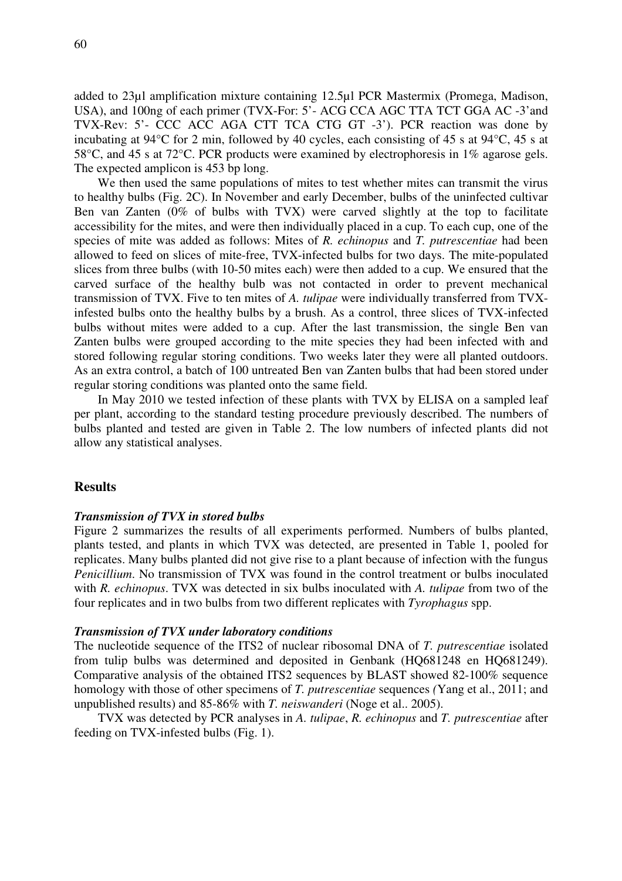added to 23µl amplification mixture containing 12.5µl PCR Mastermix (Promega, Madison, USA), and 100ng of each primer (TVX-For: 5'- ACG CCA AGC TTA TCT GGA AC -3'and TVX-Rev: 5'- CCC ACC AGA CTT TCA CTG GT -3'). PCR reaction was done by incubating at 94°C for 2 min, followed by 40 cycles, each consisting of 45 s at 94°C, 45 s at 58°C, and 45 s at 72°C. PCR products were examined by electrophoresis in 1% agarose gels. The expected amplicon is 453 bp long.

We then used the same populations of mites to test whether mites can transmit the virus to healthy bulbs (Fig. 2C). In November and early December, bulbs of the uninfected cultivar Ben van Zanten (0% of bulbs with TVX) were carved slightly at the top to facilitate accessibility for the mites, and were then individually placed in a cup. To each cup, one of the species of mite was added as follows: Mites of *R. echinopus* and *T. putrescentiae* had been allowed to feed on slices of mite-free, TVX-infected bulbs for two days. The mite-populated slices from three bulbs (with 10-50 mites each) were then added to a cup. We ensured that the carved surface of the healthy bulb was not contacted in order to prevent mechanical transmission of TVX. Five to ten mites of *A. tulipae* were individually transferred from TVXinfested bulbs onto the healthy bulbs by a brush. As a control, three slices of TVX-infected bulbs without mites were added to a cup. After the last transmission, the single Ben van Zanten bulbs were grouped according to the mite species they had been infected with and stored following regular storing conditions. Two weeks later they were all planted outdoors. As an extra control, a batch of 100 untreated Ben van Zanten bulbs that had been stored under regular storing conditions was planted onto the same field.

In May 2010 we tested infection of these plants with TVX by ELISA on a sampled leaf per plant, according to the standard testing procedure previously described. The numbers of bulbs planted and tested are given in Table 2. The low numbers of infected plants did not allow any statistical analyses.

### **Results**

### *Transmission of TVX in stored bulbs*

Figure 2 summarizes the results of all experiments performed. Numbers of bulbs planted, plants tested, and plants in which TVX was detected, are presented in Table 1, pooled for replicates. Many bulbs planted did not give rise to a plant because of infection with the fungus *Penicillium*. No transmission of TVX was found in the control treatment or bulbs inoculated with *R. echinopus*. TVX was detected in six bulbs inoculated with *A. tulipae* from two of the four replicates and in two bulbs from two different replicates with *Tyrophagus* spp.

#### *Transmission of TVX under laboratory conditions*

The nucleotide sequence of the ITS2 of nuclear ribosomal DNA of *T. putrescentiae* isolated from tulip bulbs was determined and deposited in Genbank (HQ681248 en HQ681249). Comparative analysis of the obtained ITS2 sequences by BLAST showed 82-100% sequence homology with those of other specimens of *T. putrescentiae* sequences *(*Yang et al., 2011; and unpublished results) and 85-86% with *T. neiswanderi* (Noge et al.. 2005).

TVX was detected by PCR analyses in *A. tulipae*, *R. echinopus* and *T. putrescentiae* after feeding on TVX-infested bulbs (Fig. 1).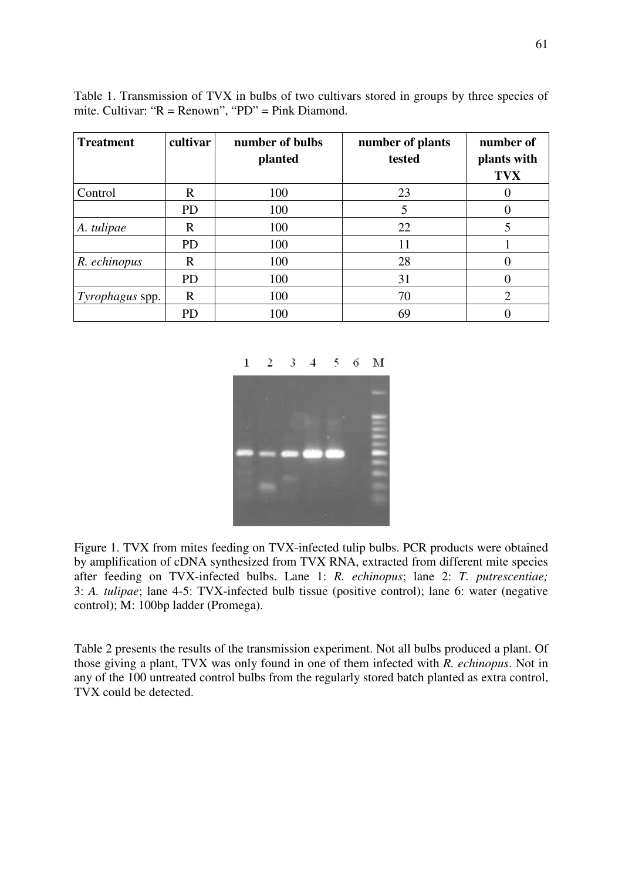Table 1. Transmission of TVX in bulbs of two cultivars stored in groups by three species of mite. Cultivar: "R = Renown", "PD" = Pink Diamond.

| <b>Treatment</b> | cultivar    | number of bulbs<br>planted | number of plants<br>tested | number of<br>plants with<br><b>TVX</b> |
|------------------|-------------|----------------------------|----------------------------|----------------------------------------|
| Control          | R           | 100                        | 23                         |                                        |
|                  | <b>PD</b>   | 100                        | 5                          |                                        |
| A. tulipae       | $\mathbf R$ | 100                        | 22                         | 5                                      |
|                  | <b>PD</b>   | 100                        | 11                         |                                        |
| R. echinopus     | R           | 100                        | 28                         |                                        |
|                  | <b>PD</b>   | 100                        | 31                         |                                        |
| Tyrophagus spp.  | R           | 100                        | 70                         | 2                                      |
|                  | <b>PD</b>   | 100                        | 69                         |                                        |



Figure 1. TVX from mites feeding on TVX-infected tulip bulbs. PCR products were obtained by amplification of cDNA synthesized from TVX RNA, extracted from different mite species after feeding on TVX-infected bulbs. Lane 1: *R. echinopus*; lane 2: *T. putrescentiae;* 3: *A. tulipae*; lane 4-5: TVX-infected bulb tissue (positive control); lane 6: water (negative control); M: 100bp ladder (Promega).

Table 2 presents the results of the transmission experiment. Not all bulbs produced a plant. Of those giving a plant, TVX was only found in one of them infected with *R. echinopus*. Not in any of the 100 untreated control bulbs from the regularly stored batch planted as extra control, TVX could be detected.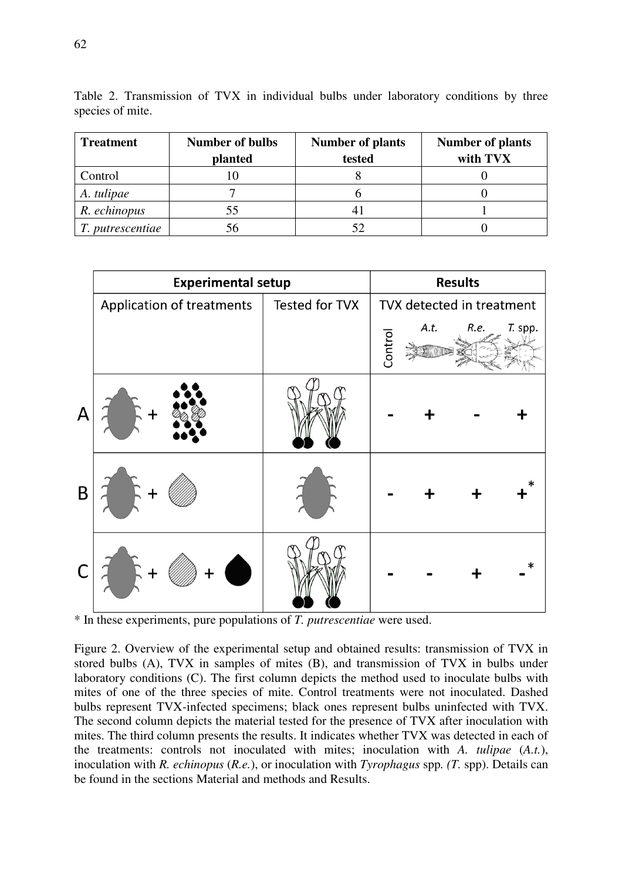| <b>Treatment</b> | <b>Number of bulbs</b> | <b>Number of plants</b> | <b>Number of plants</b> |
|------------------|------------------------|-------------------------|-------------------------|
|                  | planted                | tested                  | with TVX                |
| Control          |                        |                         |                         |
| A. tulipae       |                        |                         |                         |
| R. echinopus     | 55                     |                         |                         |
| T. putrescentiae |                        |                         |                         |

Table 2. Transmission of TVX in individual bulbs under laboratory conditions by three species of mite.



\* In these experiments, pure populations of *T. putrescentiae* were used.

Figure 2. Overview of the experimental setup and obtained results: transmission of TVX in stored bulbs (A), TVX in samples of mites (B), and transmission of TVX in bulbs under laboratory conditions (C). The first column depicts the method used to inoculate bulbs with mites of one of the three species of mite. Control treatments were not inoculated. Dashed bulbs represent TVX-infected specimens; black ones represent bulbs uninfected with TVX. The second column depicts the material tested for the presence of TVX after inoculation with mites. The third column presents the results. It indicates whether TVX was detected in each of the treatments: controls not inoculated with mites; inoculation with *A. tulipae* (*A.t.*), inoculation with *R. echinopus* (*R.e.*), or inoculation with *Tyrophagus* spp*. (T.* spp). Details can be found in the sections Material and methods and Results.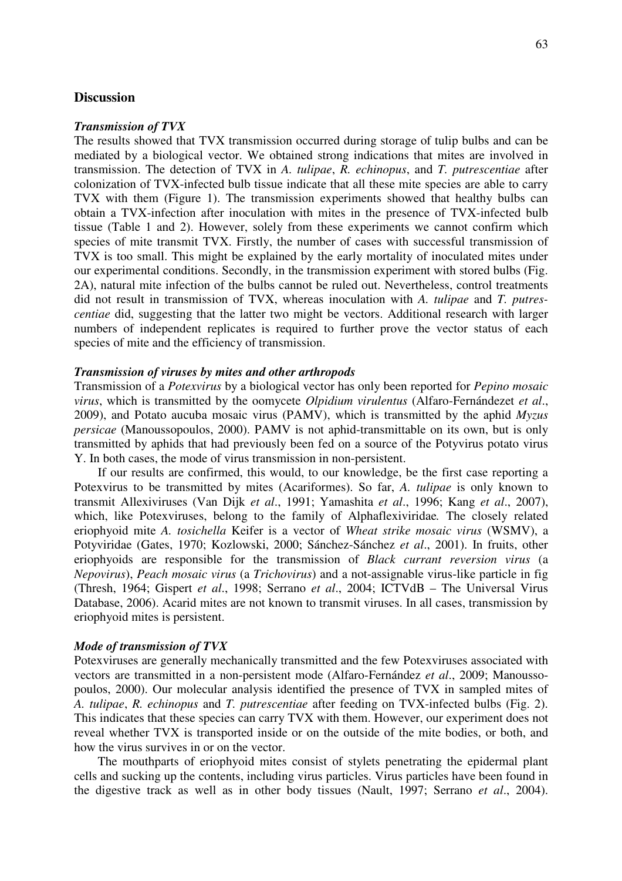# **Discussion**

### *Transmission of TVX*

The results showed that TVX transmission occurred during storage of tulip bulbs and can be mediated by a biological vector. We obtained strong indications that mites are involved in transmission. The detection of TVX in *A. tulipae*, *R. echinopus*, and *T. putrescentiae* after colonization of TVX-infected bulb tissue indicate that all these mite species are able to carry TVX with them (Figure 1). The transmission experiments showed that healthy bulbs can obtain a TVX-infection after inoculation with mites in the presence of TVX-infected bulb tissue (Table 1 and 2). However, solely from these experiments we cannot confirm which species of mite transmit TVX. Firstly, the number of cases with successful transmission of TVX is too small. This might be explained by the early mortality of inoculated mites under our experimental conditions. Secondly, in the transmission experiment with stored bulbs (Fig. 2A), natural mite infection of the bulbs cannot be ruled out. Nevertheless, control treatments did not result in transmission of TVX, whereas inoculation with *A. tulipae* and *T. putrescentiae* did, suggesting that the latter two might be vectors. Additional research with larger numbers of independent replicates is required to further prove the vector status of each species of mite and the efficiency of transmission.

### *Transmission of viruses by mites and other arthropods*

Transmission of a *Potexvirus* by a biological vector has only been reported for *Pepino mosaic virus*, which is transmitted by the oomycete *Olpidium virulentus* (Alfaro-Fernándezet *et al*., 2009), and Potato aucuba mosaic virus (PAMV), which is transmitted by the aphid *Myzus persicae* (Manoussopoulos, 2000). PAMV is not aphid-transmittable on its own, but is only transmitted by aphids that had previously been fed on a source of the Potyvirus potato virus Y. In both cases, the mode of virus transmission in non-persistent.

If our results are confirmed, this would, to our knowledge, be the first case reporting a Potexvirus to be transmitted by mites (Acariformes). So far, *A. tulipae* is only known to transmit Allexiviruses (Van Dijk *et al*., 1991; Yamashita *et al*., 1996; Kang *et al*., 2007), which, like Potexviruses, belong to the family of Alphaflexiviridae*.* The closely related eriophyoid mite *A. tosichella* Keifer is a vector of *Wheat strike mosaic virus* (WSMV), a Potyviridae (Gates, 1970; Kozlowski, 2000; Sánchez-Sánchez *et al*., 2001). In fruits, other eriophyoids are responsible for the transmission of *Black currant reversion virus* (a *Nepovirus*), *Peach mosaic virus* (a *Trichovirus*) and a not-assignable virus-like particle in fig (Thresh, 1964; Gispert *et al*., 1998; Serrano *et al*., 2004; ICTVdB – The Universal Virus Database, 2006). Acarid mites are not known to transmit viruses. In all cases, transmission by eriophyoid mites is persistent.

#### *Mode of transmission of TVX*

Potexviruses are generally mechanically transmitted and the few Potexviruses associated with vectors are transmitted in a non-persistent mode (Alfaro-Fernández *et al*., 2009; Manoussopoulos, 2000). Our molecular analysis identified the presence of TVX in sampled mites of *A. tulipae*, *R. echinopus* and *T. putrescentiae* after feeding on TVX-infected bulbs (Fig. 2). This indicates that these species can carry TVX with them. However, our experiment does not reveal whether TVX is transported inside or on the outside of the mite bodies, or both, and how the virus survives in or on the vector.

The mouthparts of eriophyoid mites consist of stylets penetrating the epidermal plant cells and sucking up the contents, including virus particles. Virus particles have been found in the digestive track as well as in other body tissues (Nault, 1997; Serrano *et al*., 2004).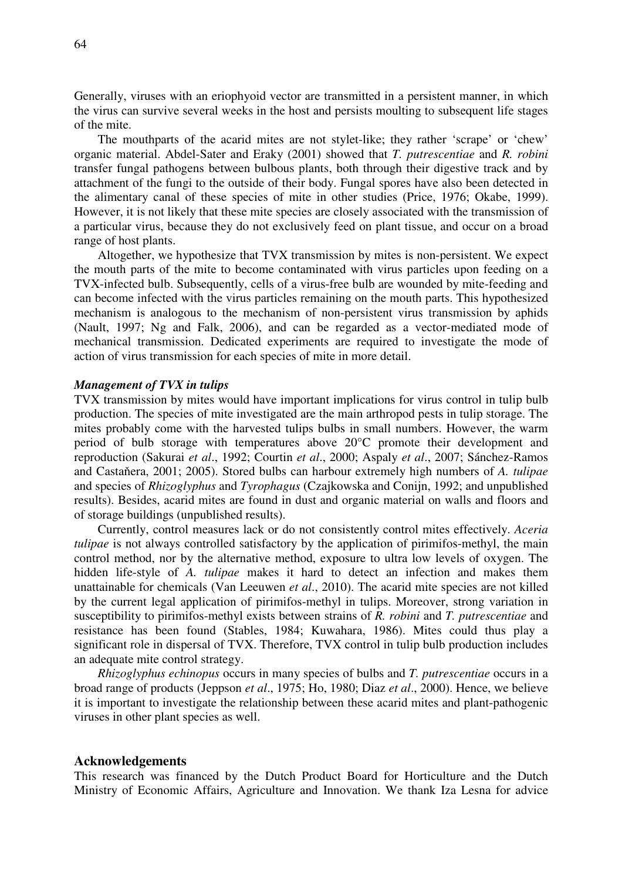Generally, viruses with an eriophyoid vector are transmitted in a persistent manner, in which the virus can survive several weeks in the host and persists moulting to subsequent life stages of the mite.

The mouthparts of the acarid mites are not stylet-like; they rather 'scrape' or 'chew' organic material. Abdel-Sater and Eraky (2001) showed that *T. putrescentiae* and *R. robini*  transfer fungal pathogens between bulbous plants, both through their digestive track and by attachment of the fungi to the outside of their body. Fungal spores have also been detected in the alimentary canal of these species of mite in other studies (Price, 1976; Okabe, 1999). However, it is not likely that these mite species are closely associated with the transmission of a particular virus, because they do not exclusively feed on plant tissue, and occur on a broad range of host plants.

Altogether, we hypothesize that TVX transmission by mites is non-persistent. We expect the mouth parts of the mite to become contaminated with virus particles upon feeding on a TVX-infected bulb. Subsequently, cells of a virus-free bulb are wounded by mite-feeding and can become infected with the virus particles remaining on the mouth parts. This hypothesized mechanism is analogous to the mechanism of non-persistent virus transmission by aphids (Nault, 1997; Ng and Falk, 2006), and can be regarded as a vector-mediated mode of mechanical transmission. Dedicated experiments are required to investigate the mode of action of virus transmission for each species of mite in more detail.

### *Management of TVX in tulips*

TVX transmission by mites would have important implications for virus control in tulip bulb production. The species of mite investigated are the main arthropod pests in tulip storage. The mites probably come with the harvested tulips bulbs in small numbers. However, the warm period of bulb storage with temperatures above 20°C promote their development and reproduction (Sakurai *et al*., 1992; Courtin *et al*., 2000; Aspaly *et al*., 2007; Sánchez-Ramos and Castaňera, 2001; 2005). Stored bulbs can harbour extremely high numbers of *A. tulipae* and species of *Rhizoglyphus* and *Tyrophagus* (Czajkowska and Conijn, 1992; and unpublished results). Besides, acarid mites are found in dust and organic material on walls and floors and of storage buildings (unpublished results).

Currently, control measures lack or do not consistently control mites effectively. *Aceria tulipae* is not always controlled satisfactory by the application of pirimifos-methyl, the main control method, nor by the alternative method, exposure to ultra low levels of oxygen. The hidden life-style of *A. tulipae* makes it hard to detect an infection and makes them unattainable for chemicals (Van Leeuwen *et al*., 2010). The acarid mite species are not killed by the current legal application of pirimifos-methyl in tulips. Moreover, strong variation in susceptibility to pirimifos-methyl exists between strains of *R. robini* and *T. putrescentiae* and resistance has been found (Stables, 1984; Kuwahara, 1986). Mites could thus play a significant role in dispersal of TVX. Therefore, TVX control in tulip bulb production includes an adequate mite control strategy.

*Rhizoglyphus echinopus* occurs in many species of bulbs and *T. putrescentiae* occurs in a broad range of products (Jeppson *et al*., 1975; Ho, 1980; Diaz *et al*., 2000). Hence, we believe it is important to investigate the relationship between these acarid mites and plant-pathogenic viruses in other plant species as well.

#### **Acknowledgements**

This research was financed by the Dutch Product Board for Horticulture and the Dutch Ministry of Economic Affairs, Agriculture and Innovation. We thank Iza Lesna for advice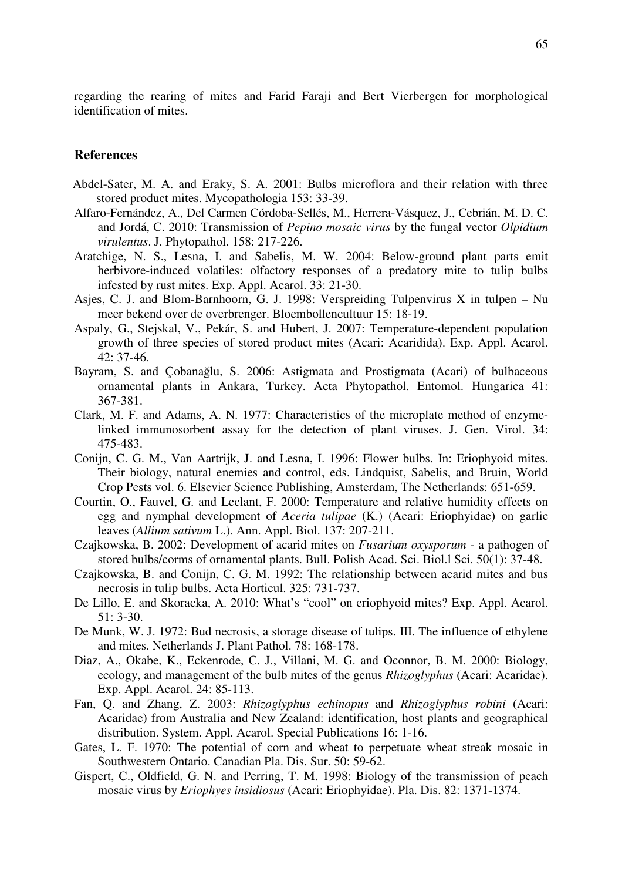regarding the rearing of mites and Farid Faraji and Bert Vierbergen for morphological identification of mites.

# **References**

- Abdel-Sater, M. A. and Eraky, S. A. 2001: Bulbs microflora and their relation with three stored product mites. Mycopathologia 153: 33-39.
- Alfaro-Fernández, A., Del Carmen Córdoba-Sellés, M., Herrera-Vásquez, J., Cebrián, M. D. C. and Jordá, C. 2010: Transmission of *Pepino mosaic virus* by the fungal vector *Olpidium virulentus*. J. Phytopathol. 158: 217-226.
- Aratchige, N. S., Lesna, I. and Sabelis, M. W. 2004: Below-ground plant parts emit herbivore-induced volatiles: olfactory responses of a predatory mite to tulip bulbs infested by rust mites. Exp. Appl. Acarol. 33: 21-30.
- Asjes, C. J. and Blom-Barnhoorn, G. J. 1998: Verspreiding Tulpenvirus X in tulpen Nu meer bekend over de overbrenger. Bloembollencultuur 15: 18-19.
- Aspaly, G., Stejskal, V., Pekár, S. and Hubert, J. 2007: Temperature-dependent population growth of three species of stored product mites (Acari: Acaridida). Exp. Appl. Acarol. 42: 37-46.
- Bayram, S. and Çobanağlu, S. 2006: Astigmata and Prostigmata (Acari) of bulbaceous ornamental plants in Ankara, Turkey. Acta Phytopathol. Entomol. Hungarica 41: 367-381.
- Clark, M. F. and Adams, A. N. 1977: Characteristics of the microplate method of enzymelinked immunosorbent assay for the detection of plant viruses. J. Gen. Virol. 34: 475-483.
- Conijn, C. G. M., Van Aartrijk, J. and Lesna, I. 1996: Flower bulbs. In: Eriophyoid mites. Their biology, natural enemies and control, eds. Lindquist, Sabelis, and Bruin, World Crop Pests vol. 6. Elsevier Science Publishing, Amsterdam, The Netherlands: 651-659.
- Courtin, O., Fauvel, G. and Leclant, F. 2000: Temperature and relative humidity effects on egg and nymphal development of *Aceria tulipae* (K.) (Acari: Eriophyidae) on garlic leaves (*Allium sativum* L.). Ann. Appl. Biol. 137: 207-211.
- Czajkowska, B. 2002: Development of acarid mites on *Fusarium oxysporum* a pathogen of stored bulbs/corms of ornamental plants. Bull. Polish Acad. Sci. Biol.l Sci. 50(1): 37-48.
- Czajkowska, B. and Conijn, C. G. M. 1992: The relationship between acarid mites and bus necrosis in tulip bulbs. Acta Horticul. 325: 731-737.
- De Lillo, E. and Skoracka, A. 2010: What's "cool" on eriophyoid mites? Exp. Appl. Acarol. 51: 3-30.
- De Munk, W. J. 1972: Bud necrosis, a storage disease of tulips. III. The influence of ethylene and mites. Netherlands J. Plant Pathol. 78: 168-178.
- Diaz, A., Okabe, K., Eckenrode, C. J., Villani, M. G. and Oconnor, B. M. 2000: Biology, ecology, and management of the bulb mites of the genus *Rhizoglyphus* (Acari: Acaridae). Exp. Appl. Acarol. 24: 85-113.
- Fan, Q. and Zhang, Z. 2003: *Rhizoglyphus echinopus* and *Rhizoglyphus robini* (Acari: Acaridae) from Australia and New Zealand: identification, host plants and geographical distribution. System. Appl. Acarol. Special Publications 16: 1-16.
- Gates, L. F. 1970: The potential of corn and wheat to perpetuate wheat streak mosaic in Southwestern Ontario. Canadian Pla. Dis. Sur. 50: 59-62.
- Gispert, C., Oldfield, G. N. and Perring, T. M. 1998: Biology of the transmission of peach mosaic virus by *Eriophyes insidiosus* (Acari: Eriophyidae). Pla. Dis. 82: 1371-1374.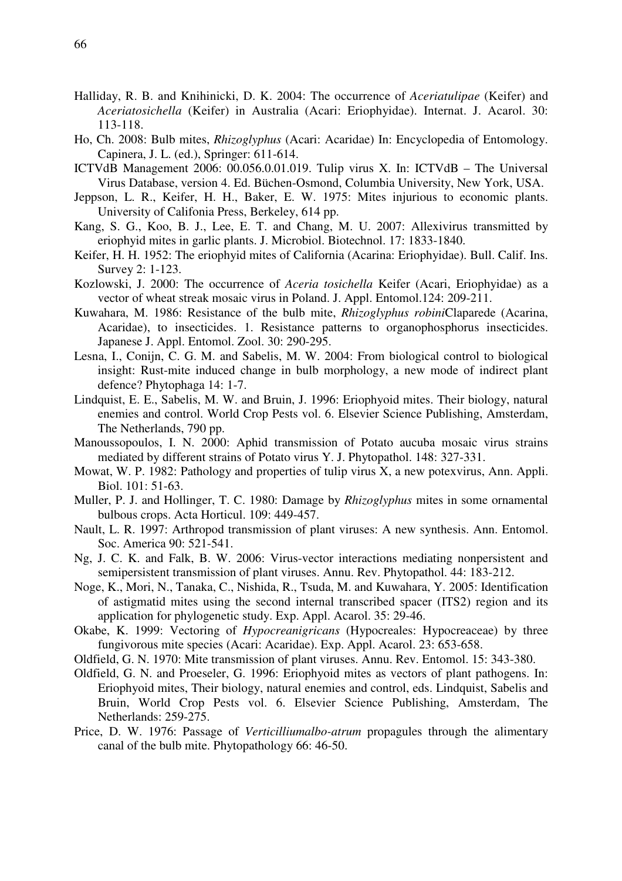- Halliday, R. B. and Knihinicki, D. K. 2004: The occurrence of *Aceriatulipae* (Keifer) and *Aceriatosichella* (Keifer) in Australia (Acari: Eriophyidae). Internat. J. Acarol. 30: 113-118.
- Ho, Ch. 2008: Bulb mites, *Rhizoglyphus* (Acari: Acaridae) In: Encyclopedia of Entomology. Capinera, J. L. (ed.), Springer: 611-614.
- ICTVdB Management 2006: 00.056.0.01.019. Tulip virus X. In: ICTVdB The Universal Virus Database, version 4. Ed. Büchen-Osmond, Columbia University, New York, USA.
- Jeppson, L. R., Keifer, H. H., Baker, E. W. 1975: Mites injurious to economic plants. University of Califonia Press, Berkeley, 614 pp.
- Kang, S. G., Koo, B. J., Lee, E. T. and Chang, M. U. 2007: Allexivirus transmitted by eriophyid mites in garlic plants. J. Microbiol. Biotechnol. 17: 1833-1840.
- Keifer, H. H. 1952: The eriophyid mites of California (Acarina: Eriophyidae). Bull. Calif. Ins. Survey 2: 1-123.
- Kozlowski, J. 2000: The occurrence of *Aceria tosichella* Keifer (Acari, Eriophyidae) as a vector of wheat streak mosaic virus in Poland. J. Appl. Entomol.124: 209-211.
- Kuwahara, M. 1986: Resistance of the bulb mite, *Rhizoglyphus robini*Claparede (Acarina, Acaridae), to insecticides. 1. Resistance patterns to organophosphorus insecticides. Japanese J. Appl. Entomol. Zool. 30: 290-295.
- Lesna, I., Conijn, C. G. M. and Sabelis, M. W. 2004: From biological control to biological insight: Rust-mite induced change in bulb morphology, a new mode of indirect plant defence? Phytophaga 14: 1-7.
- Lindquist, E. E., Sabelis, M. W. and Bruin, J. 1996: Eriophyoid mites. Their biology, natural enemies and control. World Crop Pests vol. 6. Elsevier Science Publishing, Amsterdam, The Netherlands, 790 pp.
- Manoussopoulos, I. N. 2000: Aphid transmission of Potato aucuba mosaic virus strains mediated by different strains of Potato virus Y. J. Phytopathol. 148: 327-331.
- Mowat, W. P. 1982: Pathology and properties of tulip virus X, a new potexvirus, Ann. Appli. Biol. 101: 51-63.
- Muller, P. J. and Hollinger, T. C. 1980: Damage by *Rhizoglyphus* mites in some ornamental bulbous crops. Acta Horticul. 109: 449-457.
- Nault, L. R. 1997: Arthropod transmission of plant viruses: A new synthesis. Ann. Entomol. Soc. America 90: 521-541.
- Ng, J. C. K. and Falk, B. W. 2006: Virus-vector interactions mediating nonpersistent and semipersistent transmission of plant viruses. Annu. Rev. Phytopathol. 44: 183-212.
- Noge, K., Mori, N., Tanaka, C., Nishida, R., Tsuda, M. and Kuwahara, Y. 2005: Identification of astigmatid mites using the second internal transcribed spacer (ITS2) region and its application for phylogenetic study. Exp. Appl. Acarol. 35: 29-46.
- Okabe, K. 1999: Vectoring of *Hypocreanigricans* (Hypocreales: Hypocreaceae) by three fungivorous mite species (Acari: Acaridae). Exp. Appl. Acarol. 23: 653-658.
- Oldfield, G. N. 1970: Mite transmission of plant viruses. Annu. Rev. Entomol. 15: 343-380.
- Oldfield, G. N. and Proeseler, G. 1996: Eriophyoid mites as vectors of plant pathogens. In: Eriophyoid mites, Their biology, natural enemies and control, eds. Lindquist, Sabelis and Bruin, World Crop Pests vol. 6. Elsevier Science Publishing, Amsterdam, The Netherlands: 259-275.
- Price, D. W. 1976: Passage of *Verticilliumalbo-atrum* propagules through the alimentary canal of the bulb mite. Phytopathology 66: 46-50.